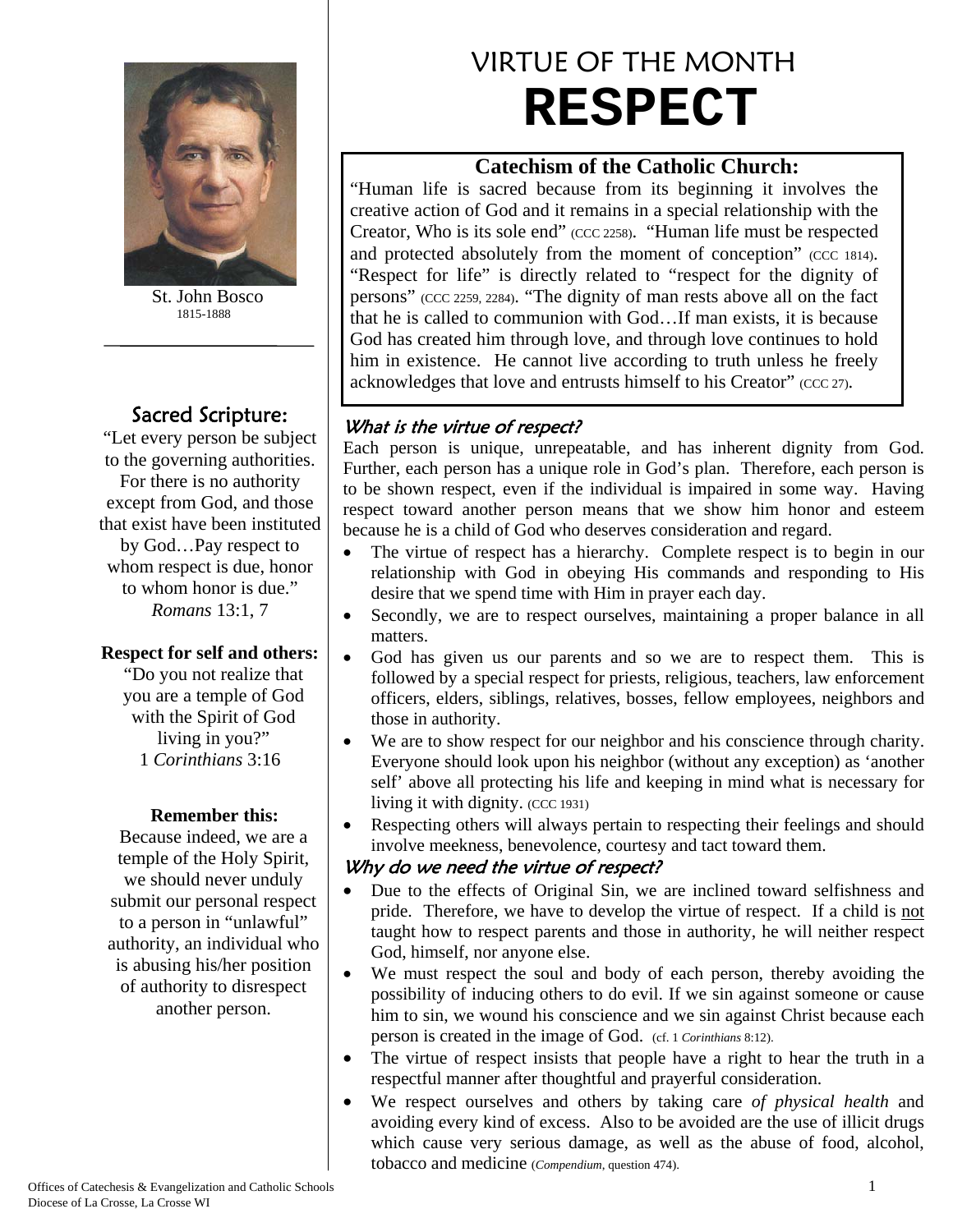

 St. John Bosco 1815-1888

# Sacred Scripture:

"Let every person be subject to the governing authorities. For there is no authority except from God, and those that exist have been instituted by God…Pay respect to whom respect is due, honor to whom honor is due." *Romans* 13:1, 7

### **Respect for self and others:**

"Do you not realize that you are a temple of God with the Spirit of God living in you?" 1 *Corinthians* 3:16

### **Remember this:**

Because indeed, we are a temple of the Holy Spirit, we should never unduly submit our personal respect to a person in "unlawful" authority, an individual who is abusing his/her position of authority to disrespect another person.

# VIRTUE OF THE MONTH **RESPECT**

### **Catechism of the Catholic Church:**

"Human life is sacred because from its beginning it involves the creative action of God and it remains in a special relationship with the Creator, Who is its sole end" (CCC 2258). "Human life must be respected and protected absolutely from the moment of conception" (CCC 1814). "Respect for life" is directly related to "respect for the dignity of persons" (CCC 2259, 2284). "The dignity of man rests above all on the fact that he is called to communion with God…If man exists, it is because God has created him through love, and through love continues to hold him in existence. He cannot live according to truth unless he freely acknowledges that love and entrusts himself to his Creator" (CCC 27).

### What is the virtue of respect?

Each person is unique, unrepeatable, and has inherent dignity from God. Further, each person has a unique role in God's plan. Therefore, each person is to be shown respect, even if the individual is impaired in some way. Having respect toward another person means that we show him honor and esteem because he is a child of God who deserves consideration and regard.

- The virtue of respect has a hierarchy. Complete respect is to begin in our relationship with God in obeying His commands and responding to His desire that we spend time with Him in prayer each day.
- Secondly, we are to respect ourselves, maintaining a proper balance in all matters.
- God has given us our parents and so we are to respect them. This is followed by a special respect for priests, religious, teachers, law enforcement officers, elders, siblings, relatives, bosses, fellow employees, neighbors and those in authority.
- We are to show respect for our neighbor and his conscience through charity. Everyone should look upon his neighbor (without any exception) as 'another self' above all protecting his life and keeping in mind what is necessary for living it with dignity. (CCC 1931)
- Respecting others will always pertain to respecting their feelings and should involve meekness, benevolence, courtesy and tact toward them.

### Why do we need the virtue of respect?

- Due to the effects of Original Sin, we are inclined toward selfishness and pride. Therefore, we have to develop the virtue of respect. If a child is not taught how to respect parents and those in authority, he will neither respect God, himself, nor anyone else.
- We must respect the soul and body of each person, thereby avoiding the possibility of inducing others to do evil. If we sin against someone or cause him to sin, we wound his conscience and we sin against Christ because each person is created in the image of God. (cf. 1 *Corinthians* 8:12).
- The virtue of respect insists that people have a right to hear the truth in a respectful manner after thoughtful and prayerful consideration.
- We respect ourselves and others by taking care *of physical health* and avoiding every kind of excess. Also to be avoided are the use of illicit drugs which cause very serious damage, as well as the abuse of food, alcohol, tobacco and medicine (*Compendium*, question 474).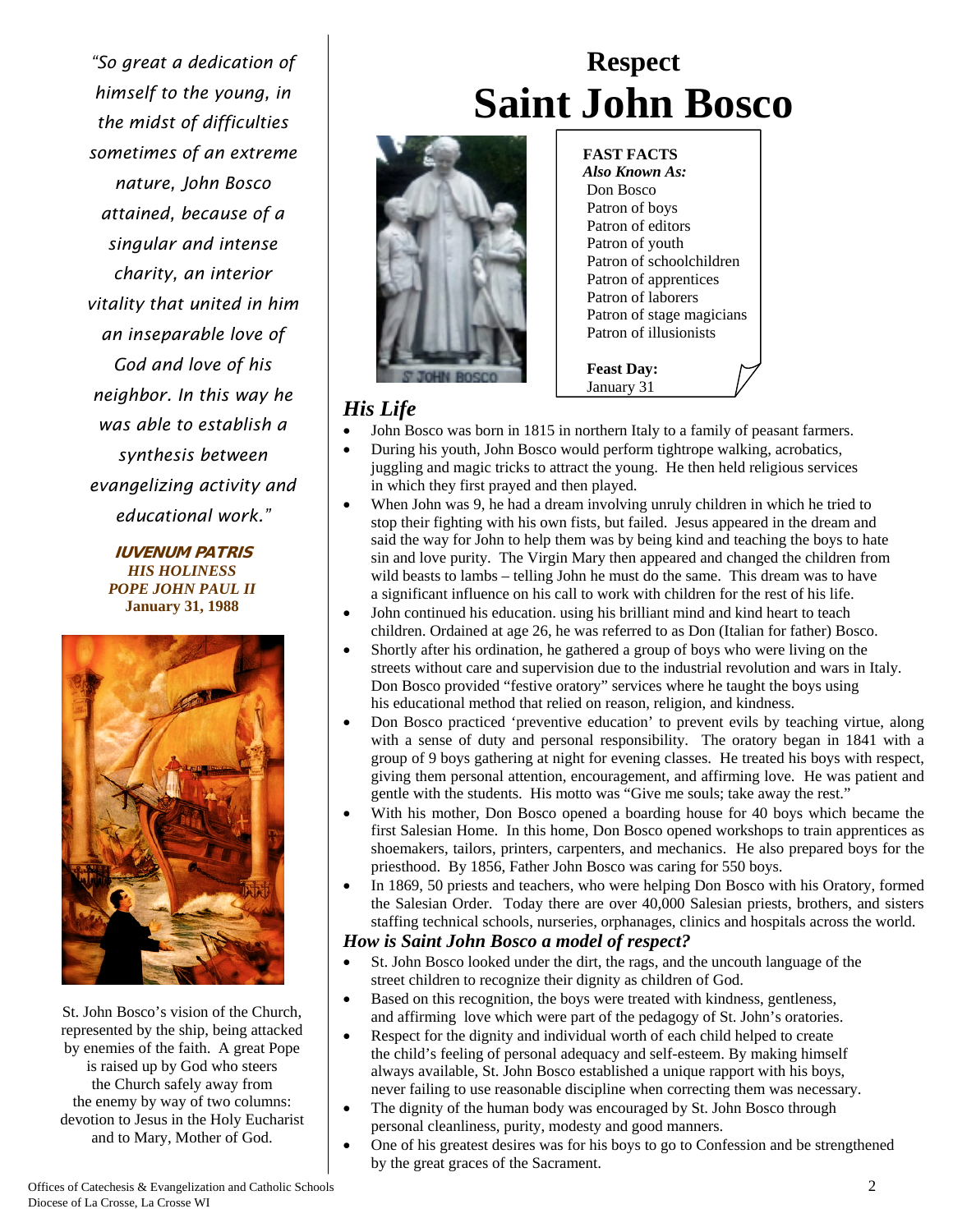*"So great a dedication of himself to the young, in the midst of difficulties sometimes of an extreme nature, John Bosco attained, because of a singular and intense charity, an interior vitality that united in him an inseparable love of God and love of his neighbor. In this way he was able to establish a synthesis between evangelizing activity and educational work."*

> **IUVENUM PATRIS** *HIS HOLINESS POPE JOHN PAUL II*  **January 31, 1988**



St. John Bosco's vision of the Church, represented by the ship, being attacked by enemies of the faith. A great Pope is raised up by God who steers the Church safely away from the enemy by way of two columns: devotion to Jesus in the Holy Eucharist and to Mary, Mother of God.

# **Respect Saint John Bosco**



 **FAST FACTS**   *Also Known As:* Don Bosco Patron of boys Patron of editors Patron of youth Patron of schoolchildren Patron of apprentices Patron of laborers Patron of stage magicians Patron of illusionists

 **Feast Day:** January 31

## *His Life*

- John Bosco was born in 1815 in northern Italy to a family of peasant farmers.
- During his youth, John Bosco would perform tightrope walking, acrobatics, juggling and magic tricks to attract the young. He then held religious services in which they first prayed and then played.
- When John was 9, he had a dream involving unruly children in which he tried to stop their fighting with his own fists, but failed. Jesus appeared in the dream and said the way for John to help them was by being kind and teaching the boys to hate sin and love purity. The Virgin Mary then appeared and changed the children from wild beasts to lambs – telling John he must do the same. This dream was to have a significant influence on his call to work with children for the rest of his life.
- John continued his education. using his brilliant mind and kind heart to teach children. Ordained at age 26, he was referred to as Don (Italian for father) Bosco.
- Shortly after his ordination, he gathered a group of boys who were living on the streets without care and supervision due to the industrial revolution and wars in Italy. Don Bosco provided "festive oratory" services where he taught the boys using his educational method that relied on reason, religion, and kindness.
- Don Bosco practiced 'preventive education' to prevent evils by teaching virtue, along with a sense of duty and personal responsibility. The oratory began in 1841 with a group of 9 boys gathering at night for evening classes. He treated his boys with respect, giving them personal attention, encouragement, and affirming love. He was patient and gentle with the students. His motto was "Give me souls; take away the rest."
- With his mother, Don Bosco opened a boarding house for 40 boys which became the first Salesian Home. In this home, Don Bosco opened workshops to train apprentices as shoemakers, tailors, printers, carpenters, and mechanics. He also prepared boys for the priesthood. By 1856, Father John Bosco was caring for 550 boys.
- In 1869, 50 priests and teachers, who were helping Don Bosco with his Oratory, formed the Salesian Order. Today there are over 40,000 Salesian priests, brothers, and sisters staffing technical schools, nurseries, orphanages, clinics and hospitals across the world.

### *How is Saint John Bosco a model of respect?*

- St. John Bosco looked under the dirt, the rags, and the uncouth language of the street children to recognize their dignity as children of God.
- Based on this recognition, the boys were treated with kindness, gentleness, and affirming love which were part of the pedagogy of St. John's oratories.
- Respect for the dignity and individual worth of each child helped to create the child's feeling of personal adequacy and self-esteem. By making himself always available, St. John Bosco established a unique rapport with his boys, never failing to use reasonable discipline when correcting them was necessary.
- The dignity of the human body was encouraged by St. John Bosco through personal cleanliness, purity, modesty and good manners.
- One of his greatest desires was for his boys to go to Confession and be strengthened by the great graces of the Sacrament.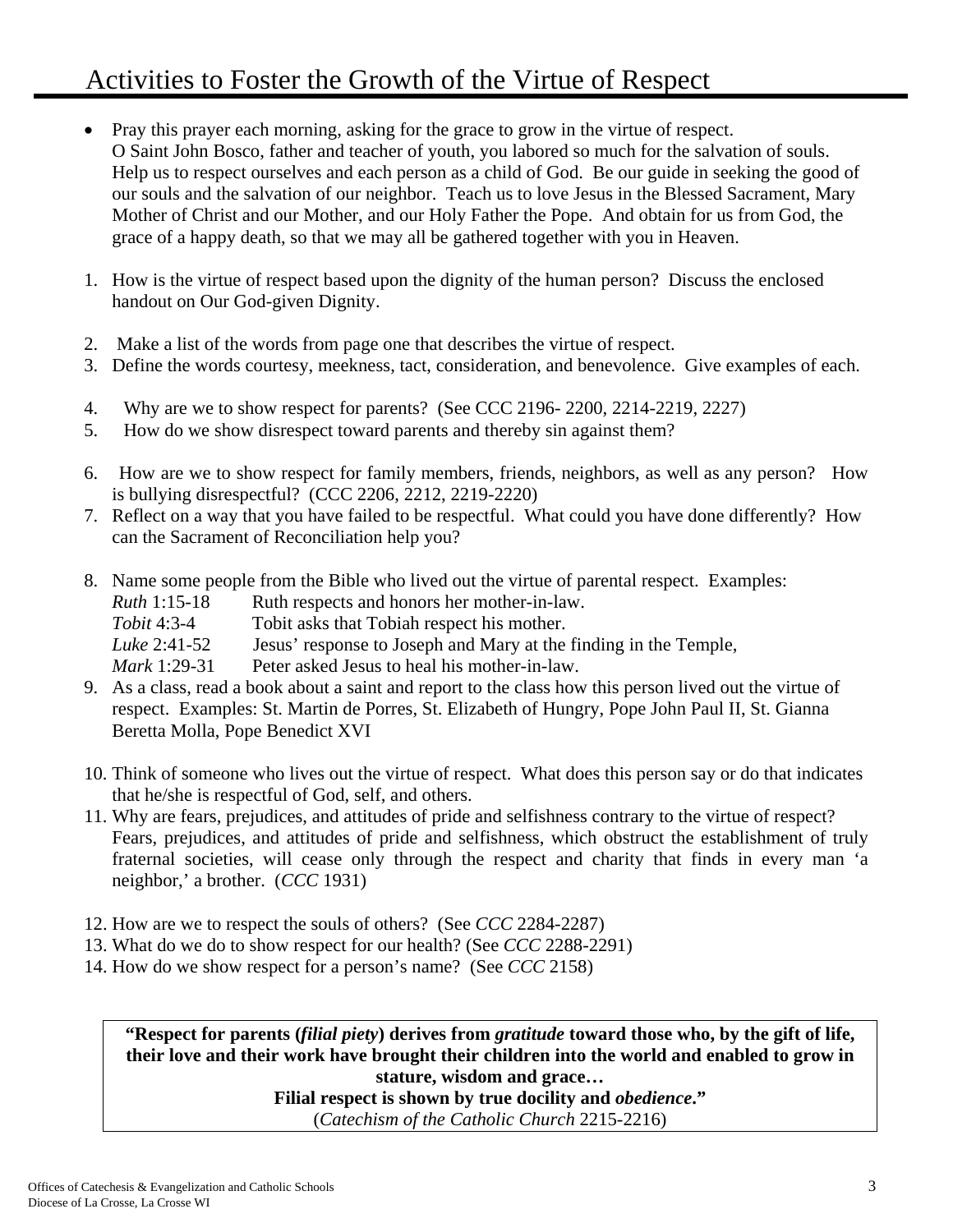# Activities to Foster the Growth of the Virtue of Respect

- Pray this prayer each morning, asking for the grace to grow in the virtue of respect. O Saint John Bosco, father and teacher of youth, you labored so much for the salvation of souls. Help us to respect ourselves and each person as a child of God. Be our guide in seeking the good of our souls and the salvation of our neighbor. Teach us to love Jesus in the Blessed Sacrament, Mary Mother of Christ and our Mother, and our Holy Father the Pope. And obtain for us from God, the grace of a happy death, so that we may all be gathered together with you in Heaven.
- 1. How is the virtue of respect based upon the dignity of the human person? Discuss the enclosed handout on Our God-given Dignity.
- 2. Make a list of the words from page one that describes the virtue of respect.
- 3. Define the words courtesy, meekness, tact, consideration, and benevolence. Give examples of each.
- 4. Why are we to show respect for parents? (See CCC 2196- 2200, 2214-2219, 2227)
- 5. How do we show disrespect toward parents and thereby sin against them?
- 6. How are we to show respect for family members, friends, neighbors, as well as any person? How is bullying disrespectful? (CCC 2206, 2212, 2219-2220)
- 7. Reflect on a way that you have failed to be respectful. What could you have done differently? How can the Sacrament of Reconciliation help you?
- 8. Name some people from the Bible who lived out the virtue of parental respect. Examples:
	- *Ruth* 1:15-18 Ruth respects and honors her mother-in-law.
	- *Tobit* 4:3-4 Tobit asks that Tobiah respect his mother.
	- *Luke* 2:41-52 Jesus' response to Joseph and Mary at the finding in the Temple,
	- *Mark* 1:29-31 Peter asked Jesus to heal his mother-in-law.
- 9. As a class, read a book about a saint and report to the class how this person lived out the virtue of respect. Examples: St. Martin de Porres, St. Elizabeth of Hungry, Pope John Paul II, St. Gianna Beretta Molla, Pope Benedict XVI
- 10. Think of someone who lives out the virtue of respect. What does this person say or do that indicates that he/she is respectful of God, self, and others.
- 11. Why are fears, prejudices, and attitudes of pride and selfishness contrary to the virtue of respect? Fears, prejudices, and attitudes of pride and selfishness, which obstruct the establishment of truly fraternal societies, will cease only through the respect and charity that finds in every man 'a neighbor,' a brother. (*CCC* 1931)
- 12. How are we to respect the souls of others? (See *CCC* 2284-2287)
- 13. What do we do to show respect for our health? (See *CCC* 2288-2291)
- 14. How do we show respect for a person's name? (See *CCC* 2158)

**"Respect for parents (***filial piety***) derives from** *gratitude* **toward those who, by the gift of life, their love and their work have brought their children into the world and enabled to grow in stature, wisdom and grace…** 

**Filial respect is shown by true docility and** *obedience***."** 

(*Catechism of the Catholic Church* 2215-2216)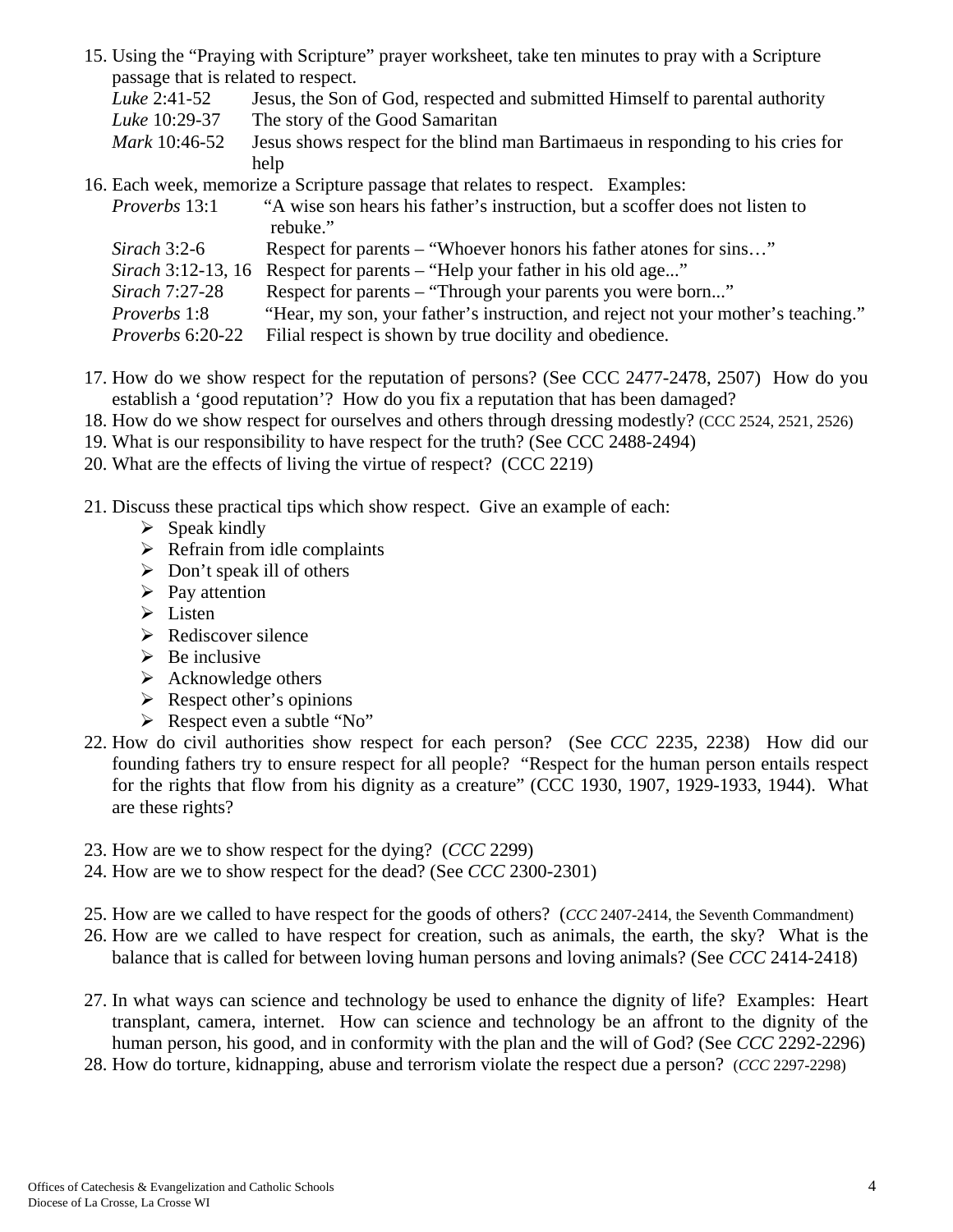|                                     | 15. Using the "Praying with Scripture" prayer worksheet, take ten minutes to pray with a Scripture |
|-------------------------------------|----------------------------------------------------------------------------------------------------|
| passage that is related to respect. |                                                                                                    |
| Luke 2:41-52                        | Jesus, the Son of God, respected and submitted Himself to parental authority                       |
| Luke 10:29-37                       | The story of the Good Samaritan                                                                    |
| Mark 10:46-52                       | Jesus shows respect for the blind man Bartimaeus in responding to his cries for                    |
|                                     | help                                                                                               |
|                                     | 16. Each week, memorize a Scripture passage that relates to respect. Examples:                     |
| <i>Proverbs</i> 13:1                | "A wise son hears his father's instruction, but a scoffer does not listen to                       |

| <i>Froverds</i> 13.1      | A wise son nears his famer s'instruction, but a scorrer does not instell to       |
|---------------------------|-----------------------------------------------------------------------------------|
|                           | rebuke."                                                                          |
| Sirach 3:2-6              | Respect for parents – "Whoever honors his father atones for sins"                 |
| <i>Sirach</i> 3:12-13, 16 | Respect for parents – "Help your father in his old age"                           |
| Sirach 7:27-28            | Respect for parents – "Through your parents you were born"                        |
| <i>Proverbs</i> 1:8       | "Hear, my son, your father's instruction, and reject not your mother's teaching." |
| <i>Proverbs</i> 6:20-22   | Filial respect is shown by true docility and obedience.                           |

- 17. How do we show respect for the reputation of persons? (See CCC 2477-2478, 2507) How do you establish a 'good reputation'? How do you fix a reputation that has been damaged?
- 18. How do we show respect for ourselves and others through dressing modestly? (CCC 2524, 2521, 2526)
- 19. What is our responsibility to have respect for the truth? (See CCC 2488-2494)
- 20. What are the effects of living the virtue of respect? (CCC 2219)
- 21. Discuss these practical tips which show respect. Give an example of each:
	- $\triangleright$  Speak kindly
	- $\triangleright$  Refrain from idle complaints
	- $\triangleright$  Don't speak ill of others
	- $\triangleright$  Pay attention
	- $\triangleright$  Listen
	- $\triangleright$  Rediscover silence
	- $\triangleright$  Be inclusive
	- $\triangleright$  Acknowledge others
	- $\triangleright$  Respect other's opinions
	- Respect even a subtle "No"
- 22. How do civil authorities show respect for each person? (See *CCC* 2235, 2238) How did our founding fathers try to ensure respect for all people? "Respect for the human person entails respect for the rights that flow from his dignity as a creature" (CCC 1930, 1907, 1929-1933, 1944). What are these rights?
- 23. How are we to show respect for the dying? (*CCC* 2299)
- 24. How are we to show respect for the dead? (See *CCC* 2300-2301)
- 25. How are we called to have respect for the goods of others? (*CCC* 2407-2414, the Seventh Commandment)
- 26. How are we called to have respect for creation, such as animals, the earth, the sky? What is the balance that is called for between loving human persons and loving animals? (See *CCC* 2414-2418)
- 27. In what ways can science and technology be used to enhance the dignity of life? Examples: Heart transplant, camera, internet. How can science and technology be an affront to the dignity of the human person, his good, and in conformity with the plan and the will of God? (See *CCC* 2292-2296)
- 28. How do torture, kidnapping, abuse and terrorism violate the respect due a person? (*CCC* 2297-2298)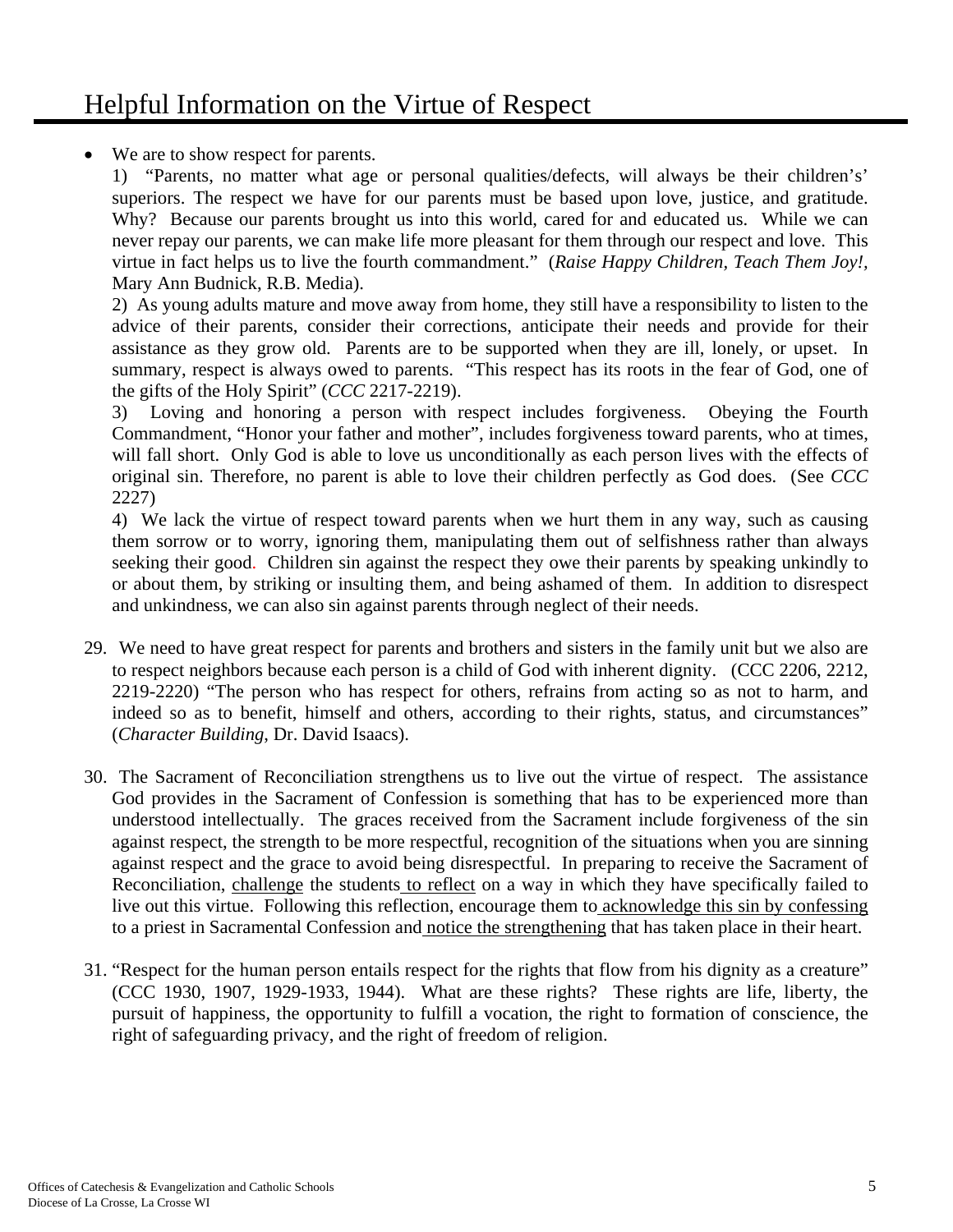We are to show respect for parents.

1) "Parents, no matter what age or personal qualities/defects, will always be their children's' superiors. The respect we have for our parents must be based upon love, justice, and gratitude. Why? Because our parents brought us into this world, cared for and educated us. While we can never repay our parents, we can make life more pleasant for them through our respect and love. This virtue in fact helps us to live the fourth commandment." (*Raise Happy Children, Teach Them Joy!,*  Mary Ann Budnick, R.B. Media).

2) As young adults mature and move away from home, they still have a responsibility to listen to the advice of their parents, consider their corrections, anticipate their needs and provide for their assistance as they grow old. Parents are to be supported when they are ill, lonely, or upset. In summary, respect is always owed to parents. "This respect has its roots in the fear of God, one of the gifts of the Holy Spirit" (*CCC* 2217-2219).

3) Loving and honoring a person with respect includes forgiveness. Obeying the Fourth Commandment, "Honor your father and mother", includes forgiveness toward parents, who at times, will fall short. Only God is able to love us unconditionally as each person lives with the effects of original sin. Therefore, no parent is able to love their children perfectly as God does. (See *CCC* 2227)

4) We lack the virtue of respect toward parents when we hurt them in any way, such as causing them sorrow or to worry, ignoring them, manipulating them out of selfishness rather than always seeking their good. Children sin against the respect they owe their parents by speaking unkindly to or about them, by striking or insulting them, and being ashamed of them. In addition to disrespect and unkindness, we can also sin against parents through neglect of their needs.

- 29. We need to have great respect for parents and brothers and sisters in the family unit but we also are to respect neighbors because each person is a child of God with inherent dignity. (CCC 2206, 2212, 2219-2220) "The person who has respect for others, refrains from acting so as not to harm, and indeed so as to benefit, himself and others, according to their rights, status, and circumstances" (*Character Building*, Dr. David Isaacs).
- 30. The Sacrament of Reconciliation strengthens us to live out the virtue of respect. The assistance God provides in the Sacrament of Confession is something that has to be experienced more than understood intellectually. The graces received from the Sacrament include forgiveness of the sin against respect, the strength to be more respectful, recognition of the situations when you are sinning against respect and the grace to avoid being disrespectful. In preparing to receive the Sacrament of Reconciliation, challenge the students to reflect on a way in which they have specifically failed to live out this virtue. Following this reflection, encourage them to acknowledge this sin by confessing to a priest in Sacramental Confession and notice the strengthening that has taken place in their heart.
- 31. "Respect for the human person entails respect for the rights that flow from his dignity as a creature" (CCC 1930, 1907, 1929-1933, 1944). What are these rights? These rights are life, liberty, the pursuit of happiness, the opportunity to fulfill a vocation, the right to formation of conscience, the right of safeguarding privacy, and the right of freedom of religion.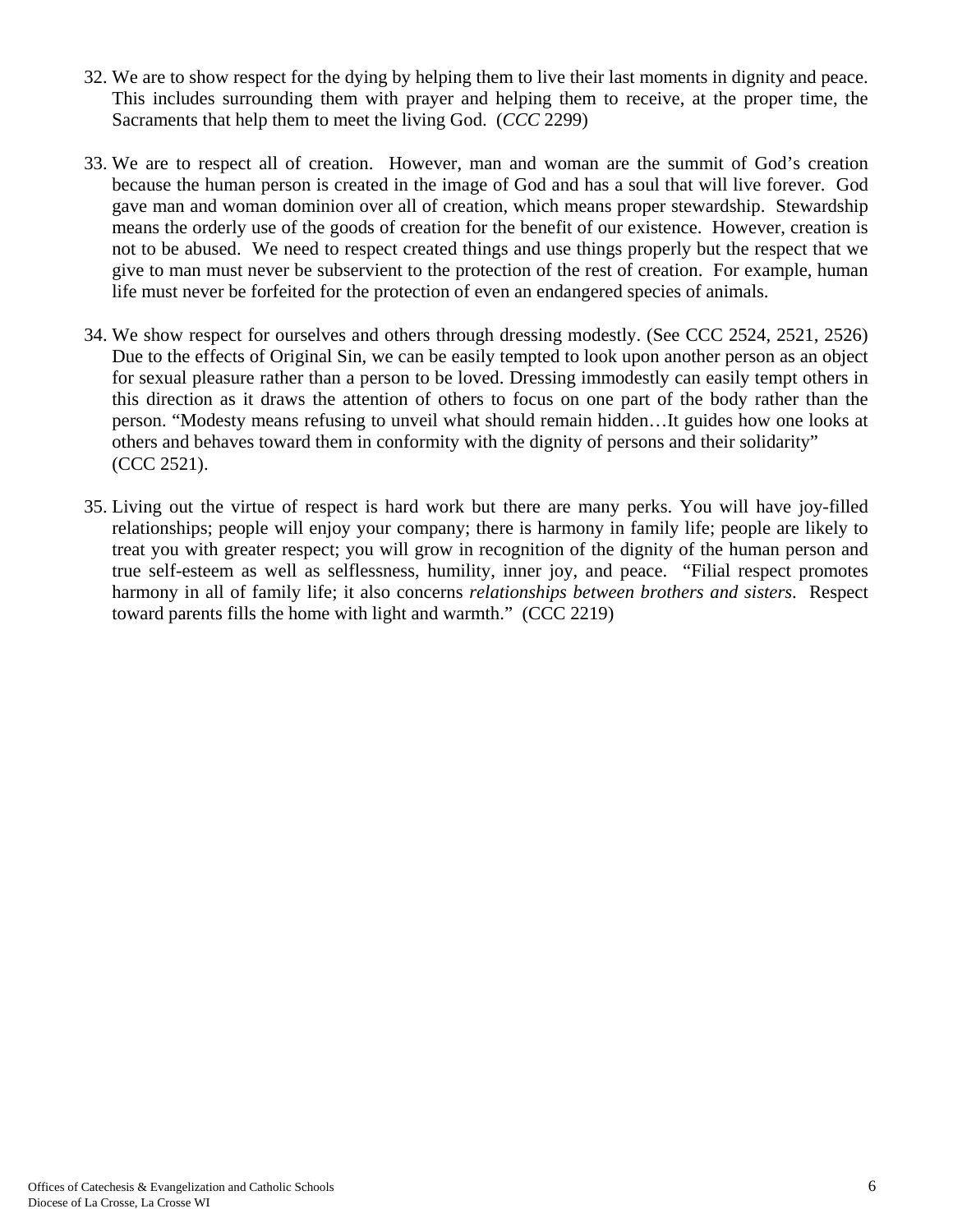- 32. We are to show respect for the dying by helping them to live their last moments in dignity and peace. This includes surrounding them with prayer and helping them to receive, at the proper time, the Sacraments that help them to meet the living God. (*CCC* 2299)
- 33. We are to respect all of creation. However, man and woman are the summit of God's creation because the human person is created in the image of God and has a soul that will live forever. God gave man and woman dominion over all of creation, which means proper stewardship. Stewardship means the orderly use of the goods of creation for the benefit of our existence. However, creation is not to be abused. We need to respect created things and use things properly but the respect that we give to man must never be subservient to the protection of the rest of creation. For example, human life must never be forfeited for the protection of even an endangered species of animals.
- 34. We show respect for ourselves and others through dressing modestly. (See CCC 2524, 2521, 2526) Due to the effects of Original Sin, we can be easily tempted to look upon another person as an object for sexual pleasure rather than a person to be loved. Dressing immodestly can easily tempt others in this direction as it draws the attention of others to focus on one part of the body rather than the person. "Modesty means refusing to unveil what should remain hidden…It guides how one looks at others and behaves toward them in conformity with the dignity of persons and their solidarity" (CCC 2521).
- 35. Living out the virtue of respect is hard work but there are many perks. You will have joy-filled relationships; people will enjoy your company; there is harmony in family life; people are likely to treat you with greater respect; you will grow in recognition of the dignity of the human person and true self-esteem as well as selflessness, humility, inner joy, and peace. "Filial respect promotes harmony in all of family life; it also concerns *relationships between brothers and sisters*. Respect toward parents fills the home with light and warmth." (CCC 2219)